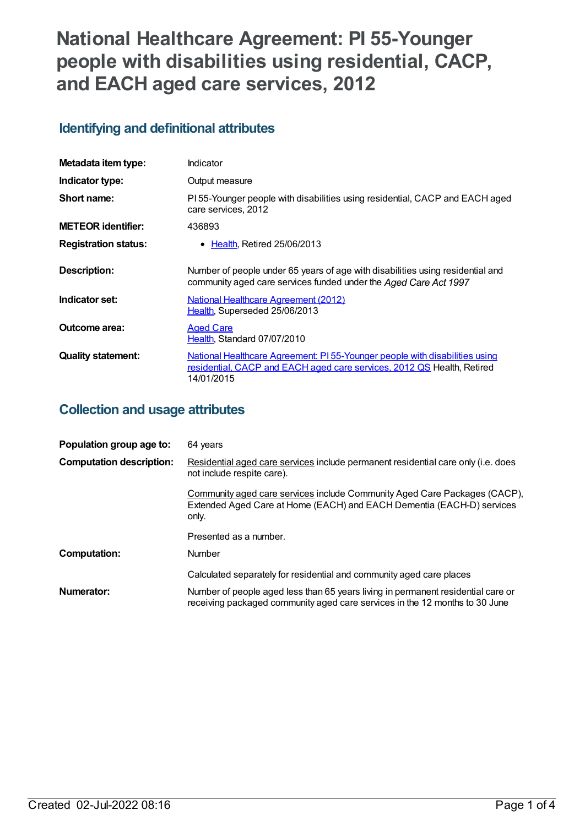# **National Healthcare Agreement: PI 55-Younger people with disabilities using residential, CACP, and EACH aged care services, 2012**

# **Identifying and definitional attributes**

| Metadata item type:         | Indicator                                                                                                                                                                  |
|-----------------------------|----------------------------------------------------------------------------------------------------------------------------------------------------------------------------|
| Indicator type:             | Output measure                                                                                                                                                             |
| Short name:                 | PI 55-Younger people with disabilities using residential, CACP and EACH aged<br>care services, 2012                                                                        |
| <b>METEOR identifier:</b>   | 436893                                                                                                                                                                     |
| <b>Registration status:</b> | • Health, Retired 25/06/2013                                                                                                                                               |
| Description:                | Number of people under 65 years of age with disabilities using residential and<br>community aged care services funded under the Aged Care Act 1997                         |
| Indicator set:              | <b>National Healthcare Agreement (2012)</b><br>Health, Superseded 25/06/2013                                                                                               |
| Outcome area:               | <b>Aged Care</b><br>Health, Standard 07/07/2010                                                                                                                            |
| <b>Quality statement:</b>   | <u>National Healthcare Agreement: PI 55-Younger people with disabilities using</u><br>residential, CACP and EACH aged care services, 2012 QS Health, Retired<br>14/01/2015 |

# **Collection and usage attributes**

| Population group age to:        | 64 years                                                                                                                                                        |
|---------------------------------|-----------------------------------------------------------------------------------------------------------------------------------------------------------------|
| <b>Computation description:</b> | Residential aged care services include permanent residential care only (i.e. does<br>not include respite care).                                                 |
|                                 | Community aged care services include Community Aged Care Packages (CACP),<br>Extended Aged Care at Home (EACH) and EACH Dementia (EACH-D) services<br>only.     |
|                                 | Presented as a number.                                                                                                                                          |
| Computation:                    | <b>Number</b>                                                                                                                                                   |
|                                 | Calculated separately for residential and community aged care places                                                                                            |
| Numerator:                      | Number of people aged less than 65 years living in permanent residential care or<br>receiving packaged community aged care services in the 12 months to 30 June |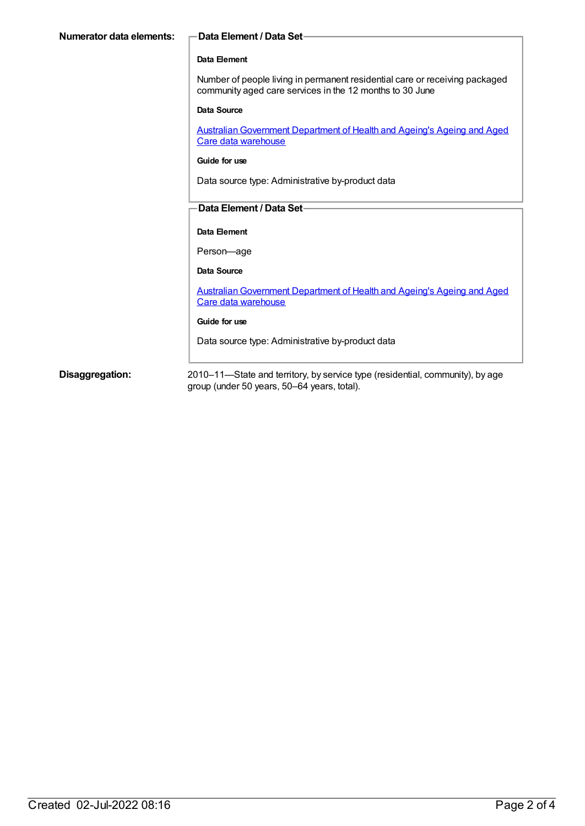| Numerator data elements: | Data Element / Data Set-                                                                                                                |
|--------------------------|-----------------------------------------------------------------------------------------------------------------------------------------|
|                          | Data Element                                                                                                                            |
|                          | Number of people living in permanent residential care or receiving packaged<br>community aged care services in the 12 months to 30 June |
|                          | Data Source                                                                                                                             |
|                          | <b>Australian Government Department of Health and Ageing's Ageing and Aged</b><br>Care data warehouse                                   |
|                          | Guide for use                                                                                                                           |
|                          | Data source type: Administrative by-product data                                                                                        |
|                          | Data Element / Data Set-                                                                                                                |
|                          | Data Element                                                                                                                            |
|                          | Person-age                                                                                                                              |
|                          | Data Source                                                                                                                             |
|                          | <u>Australian Government Department of Health and Ageing's Ageing and Aged</u><br>Care data warehouse                                   |
|                          | Guide for use                                                                                                                           |
|                          | Data source type: Administrative by-product data                                                                                        |
|                          |                                                                                                                                         |

**Disaggregation:** 2010–11—State and territory, by service type (residential, community), by age group (under 50 years, 50–64 years, total).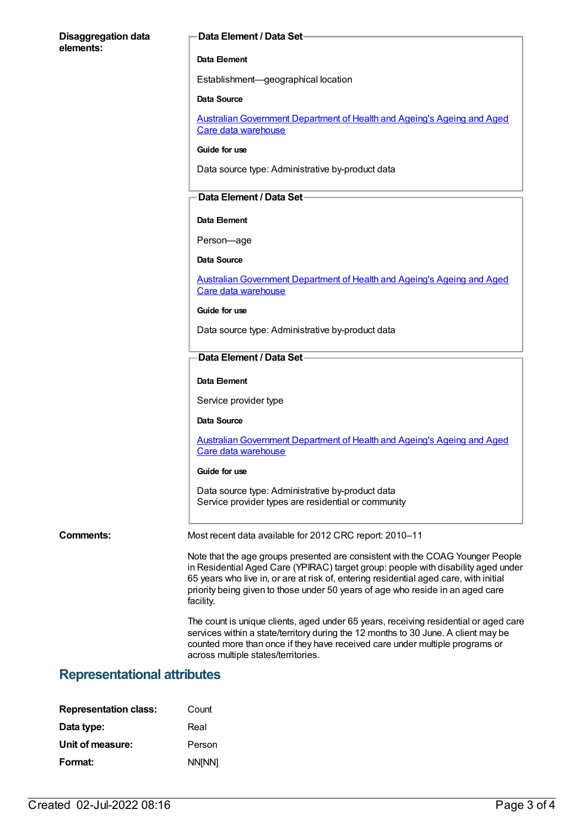### **Disaggregation data elements:**

#### **Data Element / Data Set**

#### **Data Element**

Establishment—geographical location

#### **Data Source**

Australian Government Department of Health and Ageing's Ageing and Aged Care data warehouse

#### **Guide for use**

Data source type: Administrative by-product data

### **Data Element / Data Set**

#### **Data Element**

Person—age

#### **Data Source**

Australian Government Department of Health and Ageing's Ageing and Aged Care data warehouse

#### **Guide for use**

Data source type: Administrative by-product data

#### **Data Element / Data Set**

#### **Data Element**

Service provider type

#### **Data Source**

[AustralianGovernment](https://meteor.aihw.gov.au/content/394091) Department of Health and Ageing's Ageing and Aged Care data warehouse

#### **Guide for use**

Data source type: Administrative by-product data Service provider types are residential or community

**Comments:** Most recent data available for 2012 CRC report: 2010–11

Note that the age groups presented are consistent with the COAG Younger People in Residential Aged Care (YPIRAC) target group: people with disability aged under 65 years who live in, or are at risk of, entering residential aged care, with initial priority being given to those under 50 years of age who reside in an aged care facility.

The count is unique clients, aged under 65 years, receiving residential or aged care services within a state/territory during the 12 months to 30 June. A client may be counted more than once if they have received care under multiple programs or across multiple states/territories.

### **Representational attributes**

| <b>Representation class:</b> | Count  |
|------------------------------|--------|
| Data type:                   | Real   |
| Unit of measure:             | Person |
| Format:                      | NN[NN] |